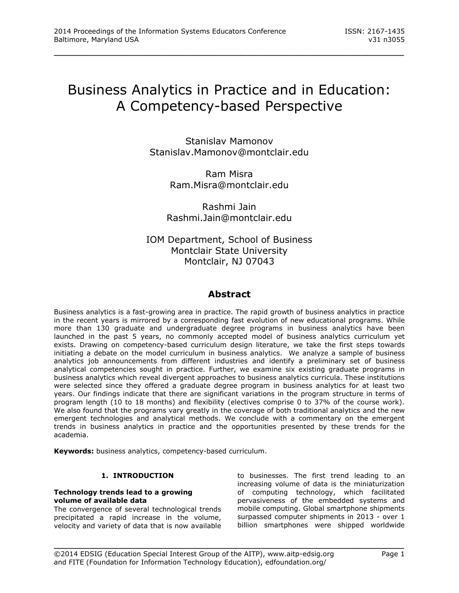# Business Analytics in Practice and in Education: A Competency-based Perspective

\_\_\_\_\_\_\_\_\_\_\_\_\_\_\_\_\_\_\_\_\_\_\_\_\_\_\_\_\_\_\_\_\_\_\_\_\_\_\_\_\_\_\_\_\_\_\_\_\_

Stanislav Mamonov [Stanislav.Mamonov@montclair.edu](mailto:Stanislav.Mamonov@montclair.edu)

> Ram Misra [Ram.Misra@montclair.edu](mailto:Ram.Misra@montclair.edu)

Rashmi Jain [Rashmi.Jain@montclair.edu](mailto:Rashmi.Jain@montclair.edu)

IOM Department, School of Business Montclair State University Montclair, NJ 07043

# **Abstract**

Business analytics is a fast-growing area in practice. The rapid growth of business analytics in practice in the recent years is mirrored by a corresponding fast evolution of new educational programs. While more than 130 graduate and undergraduate degree programs in business analytics have been launched in the past 5 years, no commonly accepted model of business analytics curriculum yet exists. Drawing on competency-based curriculum design literature, we take the first steps towards initiating a debate on the model curriculum in business analytics. We analyze a sample of business analytics job announcements from different industries and identify a preliminary set of business analytical competencies sought in practice. Further, we examine six existing graduate programs in business analytics which reveal divergent approaches to business analytics curricula. These institutions were selected since they offered a graduate degree program in business analytics for at least two years. Our findings indicate that there are significant variations in the program structure in terms of program length (10 to 18 months) and flexibility (electives comprise 0 to 37% of the course work). We also found that the programs vary greatly in the coverage of both traditional analytics and the new emergent technologies and analytical methods. We conclude with a commentary on the emergent trends in business analytics in practice and the opportunities presented by these trends for the academia.

\_\_\_\_\_\_\_\_\_\_\_\_\_\_\_\_\_\_\_\_\_\_\_\_\_\_\_\_\_\_\_\_\_\_\_\_\_\_\_\_\_\_\_\_\_\_\_\_\_

**Keywords:** business analytics, competency-based curriculum.

# **1. INTRODUCTION**

#### **Technology trends lead to a growing volume of available data**

The convergence of several technological trends precipitated a rapid increase in the volume, velocity and variety of data that is now available

to businesses. The first trend leading to an increasing volume of data is the miniaturization of computing technology, which facilitated pervasiveness of the embedded systems and mobile computing. Global smartphone shipments surpassed computer shipments in 2013 - over 1 billion smartphones were shipped worldwide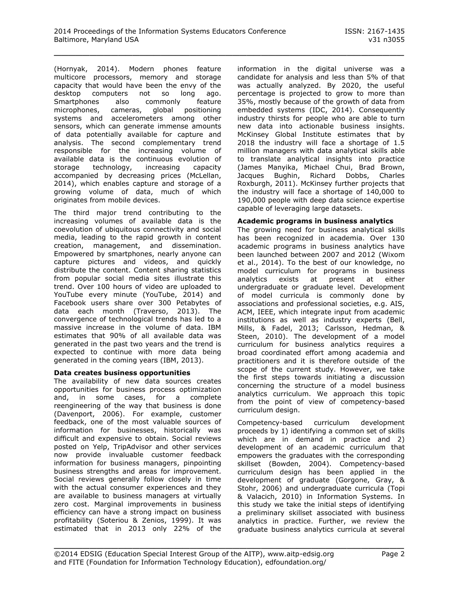(Hornyak, 2014). Modern phones feature multicore processors, memory and storage capacity that would have been the envy of the desktop computers not so long ago. Smartphones also commonly feature microphones, cameras, global positioning systems and accelerometers among other sensors, which can generate immense amounts of data potentially available for capture and analysis. The second complementary trend responsible for the increasing volume of available data is the continuous evolution of storage technology, increasing capacity accompanied by decreasing prices (McLellan, 2014), which enables capture and storage of a growing volume of data, much of which originates from mobile devices.

The third major trend contributing to the increasing volumes of available data is the coevolution of ubiquitous connectivity and social media, leading to the rapid growth in content creation, management, and dissemination. Empowered by smartphones, nearly anyone can capture pictures and videos, and quickly distribute the content. Content sharing statistics from popular social media sites illustrate this trend. Over 100 hours of video are uploaded to YouTube every minute (YouTube, 2014) and Facebook users share over 300 Petabytes of data each month (Traverso, 2013). The convergence of technological trends has led to a massive increase in the volume of data. IBM estimates that 90% of all available data was generated in the past two years and the trend is expected to continue with more data being generated in the coming years (IBM, 2013).

# **Data creates business opportunities**

The availability of new data sources creates opportunities for business process optimization and, in some cases, for a complete reengineering of the way that business is done (Davenport, 2006). For example, customer feedback, one of the most valuable sources of information for businesses, historically was difficult and expensive to obtain. Social reviews posted on Yelp, TripAdvisor and other services now provide invaluable customer feedback information for business managers, pinpointing business strengths and areas for improvement. Social reviews generally follow closely in time with the actual consumer experiences and they are available to business managers at virtually zero cost. Marginal improvements in business efficiency can have a strong impact on business profitability (Soteriou & Zenios, 1999). It was estimated that in 2013 only 22% of the

information in the digital universe was a candidate for analysis and less than 5% of that was actually analyzed. By 2020, the useful percentage is projected to grow to more than 35%, mostly because of the growth of data from embedded systems (IDC, 2014). Consequently industry thirsts for people who are able to turn new data into actionable business insights. McKinsey Global Institute estimates that by 2018 the industry will face a shortage of 1.5 million managers with data analytical skills able to translate analytical insights into practice (James Manyika, Michael Chui, Brad Brown, Jacques Bughin, Richard Dobbs, Charles Roxburgh, 2011). McKinsey further projects that the industry will face a shortage of 140,000 to 190,000 people with deep data science expertise capable of leveraging large datasets.

#### **Academic programs in business analytics**

The growing need for business analytical skills has been recognized in academia. Over 130 academic programs in business analytics have been launched between 2007 and 2012 (Wixom et al., 2014). To the best of our knowledge, no model curriculum for programs in business analytics exists at present at either undergraduate or graduate level. Development of model curricula is commonly done by associations and professional societies, e.g. AIS, ACM, IEEE, which integrate input from academic institutions as well as industry experts (Bell, Mills, & Fadel, 2013; Carlsson, Hedman, & Steen, 2010). The development of a model curriculum for business analytics requires a broad coordinated effort among academia and practitioners and it is therefore outside of the scope of the current study. However, we take the first steps towards initiating a discussion concerning the structure of a model business analytics curriculum. We approach this topic from the point of view of competency-based curriculum design.

Competency-based curriculum development proceeds by 1) identifying a common set of skills which are in demand in practice and 2) development of an academic curriculum that empowers the graduates with the corresponding skillset (Bowden, 2004). Competency-based curriculum design has been applied in the development of graduate (Gorgone, Gray, & Stohr, 2006) and undergraduate curricula (Topi & Valacich, 2010) in Information Systems. In this study we take the initial steps of identifying a preliminary skillset associated with business analytics in practice. Further, we review the graduate business analytics curricula at several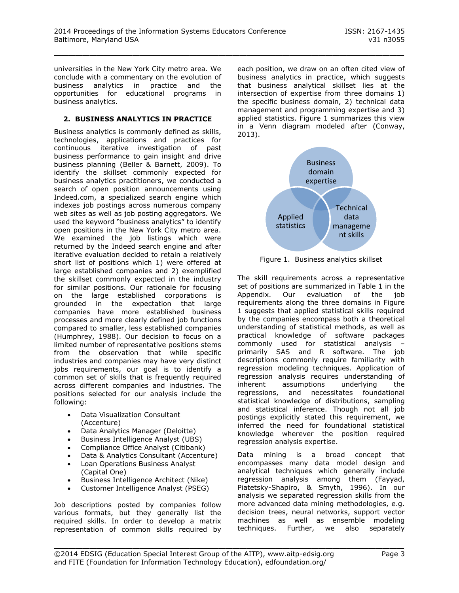universities in the New York City metro area. We conclude with a commentary on the evolution of business analytics in practice and the opportunities for educational programs in business analytics.

# **2. BUSINESS ANALYTICS IN PRACTICE**

Business analytics is commonly defined as skills, technologies, applications and practices for continuous iterative investigation of past business performance to gain insight and drive business planning (Beller & Barnett, 2009). To identify the skillset commonly expected for business analytics practitioners, we conducted a search of open position announcements using Indeed.com, a specialized search engine which indexes job postings across numerous company web sites as well as job posting aggregators. We used the keyword "business analytics" to identify open positions in the New York City metro area. We examined the job listings which were returned by the Indeed search engine and after iterative evaluation decided to retain a relatively short list of positions which 1) were offered at large established companies and 2) exemplified the skillset commonly expected in the industry for similar positions. Our rationale for focusing on the large established corporations is grounded in the expectation that large companies have more established business processes and more clearly defined job functions compared to smaller, less established companies (Humphrey, 1988). Our decision to focus on a limited number of representative positions stems from the observation that while specific industries and companies may have very distinct jobs requirements, our goal is to identify a common set of skills that is frequently required across different companies and industries. The positions selected for our analysis include the following:

- Data Visualization Consultant (Accenture)
- Data Analytics Manager (Deloitte)
- Business Intelligence Analyst (UBS)
- Compliance Office Analyst (Citibank)
- Data & Analytics Consultant (Accenture)
- Loan Operations Business Analyst (Capital One)
- Business Intelligence Architect (Nike)
- Customer Intelligence Analyst (PSEG)

Job descriptions posted by companies follow various formats, but they generally list the required skills. In order to develop a matrix representation of common skills required by each position, we draw on an often cited view of business analytics in practice, which suggests that business analytical skillset lies at the intersection of expertise from three domains 1) the specific business domain, 2) technical data management and programming expertise and 3) applied statistics. Figure 1 summarizes this view in a Venn diagram modeled after (Conway, 2013).



Figure 1. Business analytics skillset

The skill requirements across a representative set of positions are summarized in Table 1 in the Appendix. Our evaluation of the job requirements along the three domains in Figure 1 suggests that applied statistical skills required by the companies encompass both a theoretical understanding of statistical methods, as well as practical knowledge of software packages commonly used for statistical analysis – primarily SAS and R software. The job descriptions commonly require familiarity with regression modeling techniques. Application of regression analysis requires understanding of<br>inherent assumptions underlying the assumptions underlying the regressions, and necessitates foundational statistical knowledge of distributions, sampling and statistical inference. Though not all job postings explicitly stated this requirement, we inferred the need for foundational statistical knowledge wherever the position required regression analysis expertise.

Data mining is a broad concept that encompasses many data model design and analytical techniques which generally include regression analysis among them (Fayyad, Piatetsky-Shapiro, & Smyth, 1996). In our analysis we separated regression skills from the more advanced data mining methodologies, e.g. decision trees, neural networks, support vector machines as well as ensemble modeling techniques. Further, we also separately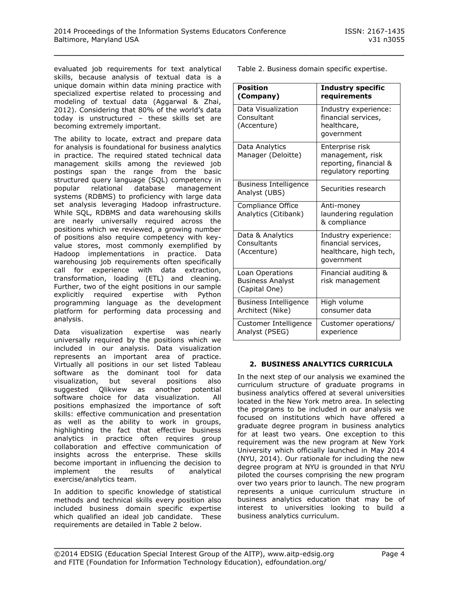evaluated job requirements for text analytical skills, because analysis of textual data is a unique domain within data mining practice with specialized expertise related to processing and modeling of textual data (Aggarwal & Zhai, 2012). Considering that 80% of the world's data today is unstructured – these skills set are becoming extremely important.

The ability to locate, extract and prepare data for analysis is foundational for business analytics in practice. The required stated technical data management skills among the reviewed job postings span the range from the basic structured query language (SQL) competency in popular relational database management systems (RDBMS) to proficiency with large data set analysis leveraging Hadoop infrastructure. While SQL, RDBMS and data warehousing skills are nearly universally required across the positions which we reviewed, a growing number of positions also require competency with keyvalue stores, most commonly exemplified by Hadoop implementations in practice. Data warehousing job requirements often specifically call for experience with data extraction, transformation, loading (ETL) and cleaning. Further, two of the eight positions in our sample explicitly required expertise with Python programming language as the development platform for performing data processing and analysis.

Data visualization expertise was nearly universally required by the positions which we included in our analysis. Data visualization represents an important area of practice. Virtually all positions in our set listed Tableau software as the dominant tool for data visualization, but several positions also suggested Qlikview as another potential software choice for data visualization. All positions emphasized the importance of soft skills: effective communication and presentation as well as the ability to work in groups, highlighting the fact that effective business analytics in practice often requires group collaboration and effective communication of insights across the enterprise. These skills become important in influencing the decision to implement the results of analytical exercise/analytics team.

In addition to specific knowledge of statistical methods and technical skills every position also included business domain specific expertise which qualified an ideal job candidate. These requirements are detailed in Table 2 below.

Table 2. Business domain specific expertise.

| Position<br>(Company)                                       | <b>Industry specific</b><br>requirements                                              |
|-------------------------------------------------------------|---------------------------------------------------------------------------------------|
| Data Visualization<br>Consultant<br>(Accenture)             | Industry experience:<br>financial services,<br>healthcare,<br>government              |
| Data Analytics<br>Manager (Deloitte)                        | Enterprise risk<br>management, risk<br>reporting, financial &<br>regulatory reporting |
| <b>Business Intelligence</b><br>Analyst (UBS)               | Securities research                                                                   |
| Compliance Office<br>Analytics (Citibank)                   | Anti-money<br>laundering regulation<br>& compliance                                   |
| Data & Analytics<br>Consultants<br>(Accenture)              | Industry experience:<br>financial services,<br>healthcare, high tech,<br>government   |
| Loan Operations<br><b>Business Analyst</b><br>(Capital One) | Financial auditing &<br>risk management                                               |
| <b>Business Intelligence</b><br>Architect (Nike)            | High volume<br>consumer data                                                          |
| Customer Intelligence<br>Analyst (PSEG)                     | Customer operations/<br>experience                                                    |

#### **2. BUSINESS ANALYTICS CURRICULA**

In the next step of our analysis we examined the curriculum structure of graduate programs in business analytics offered at several universities located in the New York metro area. In selecting the programs to be included in our analysis we focused on institutions which have offered a graduate degree program in business analytics for at least two years. One exception to this requirement was the new program at New York University which officially launched in May 2014 (NYU, 2014). Our rationale for including the new degree program at NYU is grounded in that NYU piloted the courses comprising the new program over two years prior to launch. The new program represents a unique curriculum structure in business analytics education that may be of interest to universities looking to build a business analytics curriculum.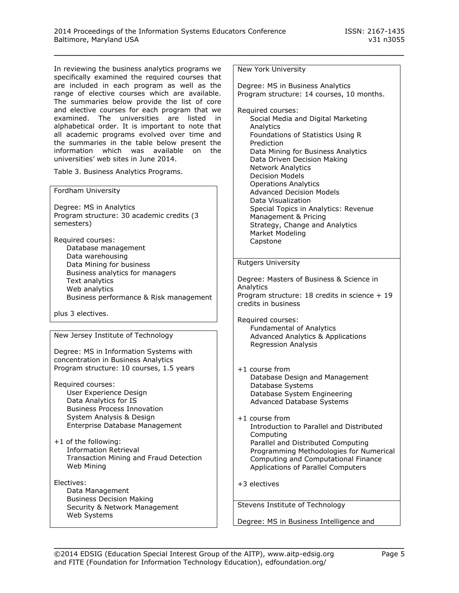In reviewing the business analytics programs we specifically examined the required courses that are included in each program as well as the range of elective courses which are available. The summaries below provide the list of core and elective courses for each program that we examined. The universities are listed in alphabetical order. It is important to note that all academic programs evolved over time and the summaries in the table below present the information which was available on the universities' web sites in June 2014.

Table 3. Business Analytics Programs.

Fordham University

Degree: MS in Analytics Program structure: 30 academic credits (3 semesters)

Required courses: Database management Data warehousing Data Mining for business Business analytics for managers Text analytics Web analytics Business performance & Risk management

plus 3 electives.

New Jersey Institute of Technology

Degree: MS in Information Systems with concentration in Business Analytics Program structure: 10 courses, 1.5 years

- Required courses: User Experience Design Data Analytics for IS Business Process Innovation System Analysis & Design Enterprise Database Management
- +1 of the following: Information Retrieval Transaction Mining and Fraud Detection Web Mining
- Electives: Data Management Business Decision Making Security & Network Management Web Systems

New York University

\_\_\_\_\_\_\_\_\_\_\_\_\_\_\_\_\_\_\_\_\_\_\_\_\_\_\_\_\_\_\_\_\_\_\_\_\_\_\_\_\_\_\_\_\_\_\_\_\_

Degree: MS in Business Analytics Program structure: 14 courses, 10 months.

Required courses: Social Media and Digital Marketing **Analytics** Foundations of Statistics Using R **Prediction** Data Mining for Business Analytics Data Driven Decision Making Network Analytics Decision Models Operations Analytics Advanced Decision Models Data Visualization Special Topics in Analytics: Revenue Management & Pricing Strategy, Change and Analytics Market Modeling Capstone

#### Rutgers University

Degree: Masters of Business & Science in **Analytics** Program structure: 18 credits in science + 19 credits in business

Required courses: Fundamental of Analytics Advanced Analytics & Applications Regression Analysis

- +1 course from Database Design and Management Database Systems Database System Engineering Advanced Database Systems
- +1 course from Introduction to Parallel and Distributed Computing Parallel and Distributed Computing Programming Methodologies for Numerical Computing and Computational Finance Applications of Parallel Computers

+3 electives

Stevens Institute of Technology

Degree: MS in Business Intelligence and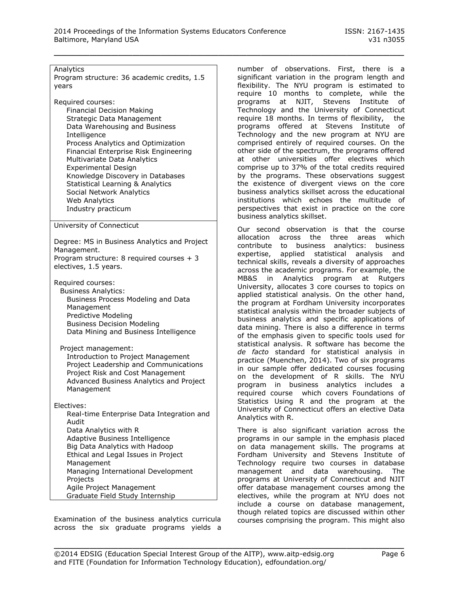| Analytics<br>Program structure: 36 academic credits, 1.5<br>years                                                                                                         |
|---------------------------------------------------------------------------------------------------------------------------------------------------------------------------|
| Required courses:<br><b>Financial Decision Making</b><br>Strategic Data Management<br>Data Warehousing and Business<br>Intelligence<br>Process Analytics and Optimization |
| Financial Enterprise Risk Engineering                                                                                                                                     |

Multivariate Data Analytics Experimental Design Knowledge Discovery in Databases Statistical Learning & Analytics Social Network Analytics Web Analytics Industry practicum

#### University of Connecticut

Degree: MS in Business Analytics and Project Management. Program structure: 8 required courses + 3 electives, 1.5 years.

Required courses: Business Analytics: Business Process Modeling and Data Management Predictive Modeling Business Decision Modeling Data Mining and Business Intelligence

Project management: Introduction to Project Management Project Leadership and Communications Project Risk and Cost Management Advanced Business Analytics and Project Management

Electives:

Real-time Enterprise Data Integration and Audit Data Analytics with R Adaptive Business Intelligence Big Data Analytics with Hadoop Ethical and Legal Issues in Project Management Managing International Development Projects Agile Project Management Graduate Field Study Internship

Examination of the business analytics curricula across the six graduate programs yields a number of observations. First, there is a significant variation in the program length and flexibility. The NYU program is estimated to require 10 months to complete, while the programs at NJIT, Stevens Institute of Technology and the University of Connecticut require 18 months. In terms of flexibility, the programs offered at Stevens Institute of Technology and the new program at NYU are comprised entirely of required courses. On the other side of the spectrum, the programs offered at other universities offer electives which comprise up to 37% of the total credits required by the programs. These observations suggest the existence of divergent views on the core business analytics skillset across the educational institutions which echoes the multitude of perspectives that exist in practice on the core business analytics skillset.

Our second observation is that the course allocation across the three areas which contribute to business analytics: business expertise, applied statistical analysis and technical skills, reveals a diversity of approaches across the academic programs. For example, the MB&S in Analytics program at Rutgers University, allocates 3 core courses to topics on applied statistical analysis. On the other hand, the program at Fordham University incorporates statistical analysis within the broader subjects of business analytics and specific applications of data mining. There is also a difference in terms of the emphasis given to specific tools used for statistical analysis. R software has become the *de facto* standard for statistical analysis in practice (Muenchen, 2014). Two of six programs in our sample offer dedicated courses focusing on the development of R skills. The NYU program in business analytics includes a required course which covers Foundations of Statistics Using R and the program at the University of Connecticut offers an elective Data Analytics with R.

There is also significant variation across the programs in our sample in the emphasis placed on data management skills. The programs at Fordham University and Stevens Institute of Technology require two courses in database management and data warehousing. The programs at University of Connecticut and NJIT offer database management courses among the electives, while the program at NYU does not include a course on database management, though related topics are discussed within other courses comprising the program. This might also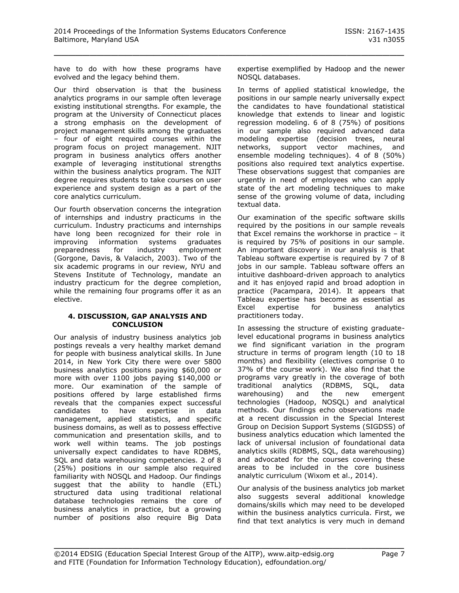have to do with how these programs have evolved and the legacy behind them.

Our third observation is that the business analytics programs in our sample often leverage existing institutional strengths. For example, the program at the University of Connecticut places a strong emphasis on the development of project management skills among the graduates – four of eight required courses within the program focus on project management. NJIT program in business analytics offers another example of leveraging institutional strengths within the business analytics program. The NJIT degree requires students to take courses on user experience and system design as a part of the core analytics curriculum.

Our fourth observation concerns the integration of internships and industry practicums in the curriculum. Industry practicums and internships have long been recognized for their role in improving information systems graduates preparedness for industry employment (Gorgone, Davis, & Valacich, 2003). Two of the six academic programs in our review, NYU and Stevens Institute of Technology, mandate an industry practicum for the degree completion, while the remaining four programs offer it as an elective.

#### **4. DISCUSSION, GAP ANALYSIS AND CONCLUSION**

Our analysis of industry business analytics job postings reveals a very healthy market demand for people with business analytical skills. In June 2014, in New York City there were over 5800 business analytics positions paying \$60,000 or more with over 1100 jobs paying \$140,000 or more. Our examination of the sample of positions offered by large established firms reveals that the companies expect successful candidates to have expertise in data management, applied statistics, and specific business domains, as well as to possess effective communication and presentation skills, and to work well within teams. The job postings universally expect candidates to have RDBMS, SQL and data warehousing competencies. 2 of 8 (25%) positions in our sample also required familiarity with NOSQL and Hadoop. Our findings suggest that the ability to handle (ETL) structured data using traditional relational database technologies remains the core of business analytics in practice, but a growing number of positions also require Big Data

expertise exemplified by Hadoop and the newer NOSQL databases.

In terms of applied statistical knowledge, the positions in our sample nearly universally expect the candidates to have foundational statistical knowledge that extends to linear and logistic regression modeling. 6 of 8 (75%) of positions in our sample also required advanced data modeling expertise (decision trees, neural<br>networks, support vector machines, and support vector machines, and ensemble modeling techniques). 4 of 8 (50%) positions also required text analytics expertise. These observations suggest that companies are urgently in need of employees who can apply state of the art modeling techniques to make sense of the growing volume of data, including textual data.

Our examination of the specific software skills required by the positions in our sample reveals that Excel remains the workhorse in practice – it is required by 75% of positions in our sample. An important discovery in our analysis is that Tableau software expertise is required by 7 of 8 jobs in our sample. Tableau software offers an intuitive dashboard-driven approach to analytics and it has enjoyed rapid and broad adoption in practice (Pacampara, 2014). It appears that Tableau expertise has become as essential as Excel expertise for business analytics practitioners today.

In assessing the structure of existing graduatelevel educational programs in business analytics we find significant variation in the program structure in terms of program length (10 to 18 months) and flexibility (electives comprise 0 to 37% of the course work). We also find that the programs vary greatly in the coverage of both traditional analytics (RDBMS, SQL, data warehousing) and the new emergent technologies (Hadoop, NOSQL) and analytical methods. Our findings echo observations made at a recent discussion in the Special Interest Group on Decision Support Systems (SIGDSS) of business analytics education which lamented the lack of universal inclusion of foundational data analytics skills (RDBMS, SQL, data warehousing) and advocated for the courses covering these areas to be included in the core business analytic curriculum (Wixom et al., 2014).

Our analysis of the business analytics job market also suggests several additional knowledge domains/skills which may need to be developed within the business analytics curricula. First, we find that text analytics is very much in demand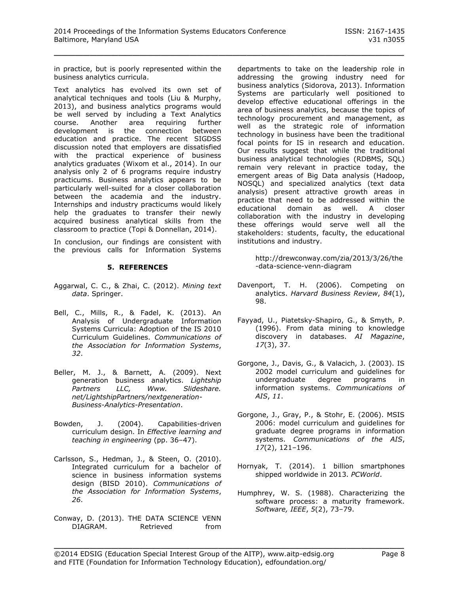in practice, but is poorly represented within the business analytics curricula.

Text analytics has evolved its own set of analytical techniques and tools (Liu & Murphy, 2013), and business analytics programs would be well served by including a Text Analytics course. Another area requiring further development is the connection between education and practice. The recent SIGDSS discussion noted that employers are dissatisfied with the practical experience of business analytics graduates (Wixom et al., 2014). In our analysis only 2 of 6 programs require industry practicums. Business analytics appears to be particularly well-suited for a closer collaboration between the academia and the industry. Internships and industry practicums would likely help the graduates to transfer their newly acquired business analytical skills from the classroom to practice (Topi & Donnellan, 2014).

In conclusion, our findings are consistent with the previous calls for Information Systems

# **5. REFERENCES**

- Aggarwal, C. C., & Zhai, C. (2012). *Mining text data*. Springer.
- Bell, C., Mills, R., & Fadel, K. (2013). An Analysis of Undergraduate Information Systems Curricula: Adoption of the IS 2010 Curriculum Guidelines. *Communications of the Association for Information Systems*, *32*.
- Beller, M. J., & Barnett, A. (2009). Next generation business analytics. *Lightship Partners LLC, Www. Slideshare. net/LightshipPartners/nextgeneration-Business-Analytics-Presentation*.
- Bowden, J. (2004). Capabilities-driven curriculum design. In *Effective learning and teaching in engineering* (pp. 36–47).
- Carlsson, S., Hedman, J., & Steen, O. (2010). Integrated curriculum for a bachelor of science in business information systems design (BISD 2010). *Communications of the Association for Information Systems*, *26*.
- Conway, D. (2013). THE DATA SCIENCE VENN DIAGRAM. Retrieved from

departments to take on the leadership role in addressing the growing industry need for business analytics (Sidorova, 2013). Information Systems are particularly well positioned to develop effective educational offerings in the area of business analytics, because the topics of technology procurement and management, as well as the strategic role of information technology in business have been the traditional focal points for IS in research and education. Our results suggest that while the traditional business analytical technologies (RDBMS, SQL) remain very relevant in practice today, the emergent areas of Big Data analysis (Hadoop, NOSQL) and specialized analytics (text data analysis) present attractive growth areas in practice that need to be addressed within the educational domain as well. A closer collaboration with the industry in developing these offerings would serve well all the stakeholders: students, faculty, the educational institutions and industry.

> http://drewconway.com/zia/2013/3/26/the -data-science-venn-diagram

- Davenport, T. H. (2006). Competing on analytics. *Harvard Business Review*, *84*(1), 98.
- Fayyad, U., Piatetsky-Shapiro, G., & Smyth, P. (1996). From data mining to knowledge discovery in databases. *AI Magazine*, *17*(3), 37.
- Gorgone, J., Davis, G., & Valacich, J. (2003). IS 2002 model curriculum and guidelines for undergraduate degree programs in information systems. *Communications of AIS*, *11*.
- Gorgone, J., Gray, P., & Stohr, E. (2006). MSIS 2006: model curriculum and guidelines for graduate degree programs in information systems. *Communications of the AIS*, *17*(2), 121–196.
- Hornyak, T. (2014). 1 billion smartphones shipped worldwide in 2013. *PCWorld*.
- Humphrey, W. S. (1988). Characterizing the software process: a maturity framework. *Software, IEEE*, *5*(2), 73–79.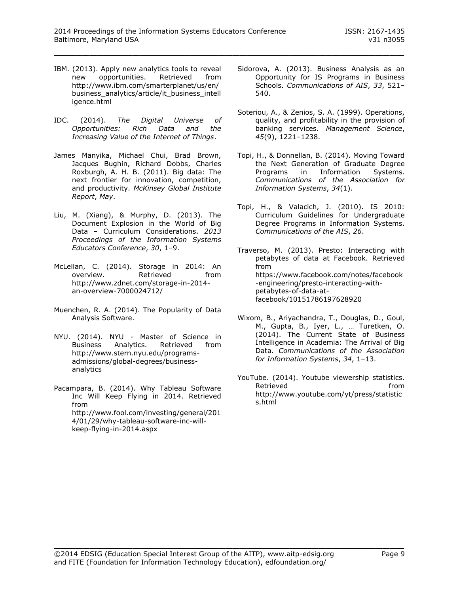- IBM. (2013). Apply new analytics tools to reveal new opportunities. Retrieved from http://www.ibm.com/smarterplanet/us/en/ business\_analytics/article/it\_business\_intell igence.html
- IDC. (2014). *The Digital Universe of Opportunities: Rich Data and the Increasing Value of the Internet of Things*.
- James Manyika, Michael Chui, Brad Brown, Jacques Bughin, Richard Dobbs, Charles Roxburgh, A. H. B. (2011). Big data: The next frontier for innovation, competition, and productivity. *McKinsey Global Institute Report*, *May*.
- Liu, M. (Xiang), & Murphy, D. (2013). The Document Explosion in the World of Big Data – Curriculum Considerations. *2013 Proceedings of the Information Systems Educators Conference*, *30*, 1–9.
- McLellan, C. (2014). Storage in 2014: An overview. Retrieved from http://www.zdnet.com/storage-in-2014 an-overview-7000024712/
- Muenchen, R. A. (2014). The Popularity of Data Analysis Software.
- NYU. (2014). NYU Master of Science in Business Analytics. Retrieved from http://www.stern.nyu.edu/programsadmissions/global-degrees/businessanalytics
- Pacampara, B. (2014). Why Tableau Software Inc Will Keep Flying in 2014. Retrieved from http://www.fool.com/investing/general/201 4/01/29/why-tableau-software-inc-willkeep-flying-in-2014.aspx
- Sidorova, A. (2013). Business Analysis as an Opportunity for IS Programs in Business Schools. *Communications of AIS*, *33*, 521– 540.
- Soteriou, A., & Zenios, S. A. (1999). Operations, quality, and profitability in the provision of banking services. *Management Science*, *45*(9), 1221–1238.
- Topi, H., & Donnellan, B. (2014). Moving Toward the Next Generation of Graduate Degree Programs in Information Systems. *Communications of the Association for Information Systems*, *34*(1).
- Topi, H., & Valacich, J. (2010). IS 2010: Curriculum Guidelines for Undergraduate Degree Programs in Information Systems. *Communications of the AIS*, *26*.

Traverso, M. (2013). Presto: Interacting with petabytes of data at Facebook. Retrieved from https://www.facebook.com/notes/facebook -engineering/presto-interacting-withpetabytes-of-data-atfacebook/10151786197628920

- Wixom, B., Ariyachandra, T., Douglas, D., Goul, M., Gupta, B., Iyer, L., … Turetken, O. (2014). The Current State of Business Intelligence in Academia: The Arrival of Big Data. *Communications of the Association for Information Systems*, *34*, 1–13.
- YouTube. (2014). Youtube viewership statistics. Retrieved **from** http://www.youtube.com/yt/press/statistic s.html